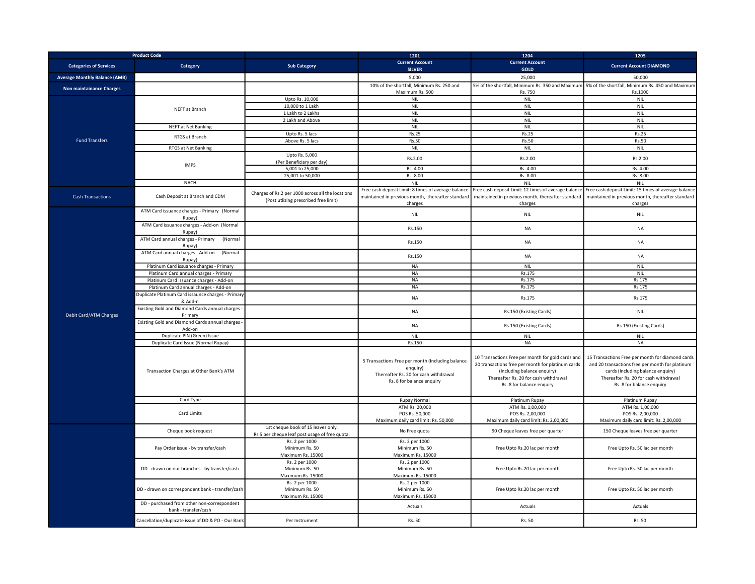| <b>Product Code</b>                  |                                                                     |                                                                                      | 1201                                                                                                                               | 1204                                                                                                                                                                                                        | 1205                                                                                                                                                                                                           |
|--------------------------------------|---------------------------------------------------------------------|--------------------------------------------------------------------------------------|------------------------------------------------------------------------------------------------------------------------------------|-------------------------------------------------------------------------------------------------------------------------------------------------------------------------------------------------------------|----------------------------------------------------------------------------------------------------------------------------------------------------------------------------------------------------------------|
| <b>Categories of Services</b>        | Category                                                            | <b>Sub Category</b>                                                                  | <b>Current Account</b><br><b>SILVER</b>                                                                                            | <b>Current Account</b><br>GOLD                                                                                                                                                                              | <b>Current Account DIAMOND</b>                                                                                                                                                                                 |
| <b>Average Monthly Balance (AMB)</b> |                                                                     |                                                                                      | 5,000                                                                                                                              | 25,000                                                                                                                                                                                                      | 50.000                                                                                                                                                                                                         |
|                                      |                                                                     |                                                                                      | 10% of the shortfall, Minimum Rs. 250 and                                                                                          | 5% of the shortfall, Minimum Rs. 350 and Maximum                                                                                                                                                            | 5% of the shortfall, Minimum Rs. 450 and Maximum                                                                                                                                                               |
| Non maintainance Charges             |                                                                     |                                                                                      | Maximum Rs. 500                                                                                                                    | Rs. 750                                                                                                                                                                                                     | Rs.1000                                                                                                                                                                                                        |
| <b>Fund Transfers</b>                |                                                                     | Upto Rs. 10.000                                                                      | <b>NIL</b>                                                                                                                         | <b>NIL</b>                                                                                                                                                                                                  | <b>NIL</b>                                                                                                                                                                                                     |
|                                      | NEFT at Branch                                                      | 10,000 to 1 Lakh                                                                     | <b>NIL</b>                                                                                                                         | <b>NIL</b>                                                                                                                                                                                                  | NIL                                                                                                                                                                                                            |
|                                      |                                                                     | 1 Lakh to 2 Lakhs                                                                    | <b>NIL</b>                                                                                                                         | <b>NIL</b>                                                                                                                                                                                                  | <b>NIL</b>                                                                                                                                                                                                     |
|                                      |                                                                     | 2 Lakh and Above                                                                     | <b>NIL</b>                                                                                                                         | <b>NIL</b>                                                                                                                                                                                                  | <b>NIL</b>                                                                                                                                                                                                     |
|                                      | <b>NEFT at Net Banking</b>                                          |                                                                                      | <b>NIL</b>                                                                                                                         | <b>NIL</b>                                                                                                                                                                                                  | <b>NIL</b>                                                                                                                                                                                                     |
|                                      | RTGS at Branch                                                      | Upto Rs. 5 lacs<br>Above Rs. 5 lacs                                                  | <b>Rs.25</b><br>Rs.50                                                                                                              | Rs.25<br>Rs.50                                                                                                                                                                                              | <b>Rs.25</b><br>Rs.50                                                                                                                                                                                          |
|                                      | RTGS at Net Banking                                                 |                                                                                      | <b>NIL</b>                                                                                                                         | <b>NIL</b>                                                                                                                                                                                                  | <b>NIL</b>                                                                                                                                                                                                     |
|                                      |                                                                     | Upto Rs. 5,000                                                                       |                                                                                                                                    |                                                                                                                                                                                                             |                                                                                                                                                                                                                |
|                                      |                                                                     | (Per Beneficiary per day)                                                            | Rs.2.00                                                                                                                            | Rs.2.00                                                                                                                                                                                                     | Rs.2.00                                                                                                                                                                                                        |
|                                      | <b>IMPS</b>                                                         | 5,001 to 25,000                                                                      | Rs. 4.00                                                                                                                           | Rs. 4.00                                                                                                                                                                                                    | Rs. 4.00                                                                                                                                                                                                       |
|                                      |                                                                     | 25,001 to 50,000                                                                     | Rs. 8.00                                                                                                                           | Rs. 8.00                                                                                                                                                                                                    | Rs. 8.00                                                                                                                                                                                                       |
|                                      | <b>NACH</b>                                                         |                                                                                      | <b>NIL</b>                                                                                                                         | <b>NIL</b>                                                                                                                                                                                                  | NIL                                                                                                                                                                                                            |
|                                      | Cash Deposit at Branch and CDM                                      | Charges of Rs.2 per 1000 across all the locations                                    | Free cash deposit Limit: 8 times of average balance                                                                                | Free cash deposit Limit: 12 times of average balance                                                                                                                                                        | Free cash deposit Limit: 15 times of average balance                                                                                                                                                           |
| <b>Cash Transactions</b>             |                                                                     | (Post utlizing prescribed free limit)                                                | maintained in previous month, thereafter standard                                                                                  | maintained in previous month, thereafter standard                                                                                                                                                           | maintained in previous month, thereafter standard                                                                                                                                                              |
|                                      |                                                                     |                                                                                      | charges                                                                                                                            | charges                                                                                                                                                                                                     | charges                                                                                                                                                                                                        |
|                                      | ATM Card issuance charges - Primary (Normal                         |                                                                                      | <b>NIL</b>                                                                                                                         | <b>NIL</b>                                                                                                                                                                                                  | <b>NIL</b>                                                                                                                                                                                                     |
|                                      | Rupay)                                                              |                                                                                      |                                                                                                                                    |                                                                                                                                                                                                             |                                                                                                                                                                                                                |
|                                      | ATM Card issuance charges - Add-on (Normal<br>Rupay)                |                                                                                      | Rs.150                                                                                                                             | <b>NA</b>                                                                                                                                                                                                   | <b>NA</b>                                                                                                                                                                                                      |
|                                      | ATM Card annual charges - Primary<br>(Normal                        |                                                                                      |                                                                                                                                    |                                                                                                                                                                                                             |                                                                                                                                                                                                                |
|                                      | Rupay)                                                              |                                                                                      | Rs.150                                                                                                                             | <b>NA</b>                                                                                                                                                                                                   | <b>NA</b>                                                                                                                                                                                                      |
|                                      | ATM Card annual charges - Add-on<br>(Normal<br>Rupay)               |                                                                                      | Rs.150                                                                                                                             | NA                                                                                                                                                                                                          | NA                                                                                                                                                                                                             |
|                                      | Platinum Card issuance charges - Primary                            |                                                                                      | <b>NA</b>                                                                                                                          | <b>NIL</b>                                                                                                                                                                                                  | <b>NIL</b>                                                                                                                                                                                                     |
|                                      | Platinum Card annual charges - Primary                              |                                                                                      | <b>NA</b>                                                                                                                          | Rs.175                                                                                                                                                                                                      | NIL                                                                                                                                                                                                            |
|                                      | Platinum Card issuance charges - Add-on                             |                                                                                      | <b>NA</b>                                                                                                                          | Rs.175                                                                                                                                                                                                      | Rs.175                                                                                                                                                                                                         |
|                                      | Platinum Card annual charges - Add-on                               |                                                                                      | <b>NA</b>                                                                                                                          | Rs.175                                                                                                                                                                                                      | Rs.175                                                                                                                                                                                                         |
| Debit Card/ATM Charges               | Duplicate Platinum Card issaunce charges - Primary<br>& Add-n       |                                                                                      | NA                                                                                                                                 | Rs.175                                                                                                                                                                                                      | Rs.175                                                                                                                                                                                                         |
|                                      | Existing Gold and Diamond Cards annual charges -<br>Primary         |                                                                                      | <b>NA</b>                                                                                                                          | Rs.150 (Existing Cards)                                                                                                                                                                                     | <b>NIL</b>                                                                                                                                                                                                     |
|                                      | Existing Gold and Diamond Cards annual charges -<br>Add-on          |                                                                                      | <b>NA</b>                                                                                                                          | Rs.150 (Existing Cards)                                                                                                                                                                                     | Rs.150 (Existing Cards)                                                                                                                                                                                        |
|                                      | Duplicate PIN (Green) Issue                                         |                                                                                      | <b>NIL</b>                                                                                                                         | <b>NIL</b>                                                                                                                                                                                                  | <b>NIL</b>                                                                                                                                                                                                     |
|                                      | Duplicate Card Issue (Normal Rupay)                                 |                                                                                      | Rs.150                                                                                                                             | <b>NA</b>                                                                                                                                                                                                   | <b>NA</b>                                                                                                                                                                                                      |
|                                      | Transaction Charges at Other Bank's ATM                             |                                                                                      | 5 Transactions Free per month (Including balance<br>enquiry)<br>Thereafter Rs. 20 for cash withdrawal<br>Rs. 8 for balance enquiry | 10 Transactions Free per month for gold cards and<br>20 transactions free per month for platinum cards<br>(Including balance enquiry)<br>Thereafter Rs. 20 for cash withdrawal<br>Rs. 8 for balance enquiry | 15 Transactions Free per month for diamond cards<br>and 20 transactions free per month for platinum<br>cards (Including balance enquiry)<br>Thereafter Rs. 20 for cash withdrawal<br>Rs. 8 for balance enquiry |
|                                      | Card Type                                                           |                                                                                      | <b>Rupay Normal</b>                                                                                                                | Platinum Rupay                                                                                                                                                                                              | Platinum Rupay                                                                                                                                                                                                 |
|                                      |                                                                     |                                                                                      | ATM Rs. 20,000                                                                                                                     | ATM Rs. 1,00,000                                                                                                                                                                                            | ATM Rs. 1,00,000                                                                                                                                                                                               |
|                                      | Card Limits                                                         |                                                                                      | POS Rs. 50,000                                                                                                                     | POS Rs. 2,00,000                                                                                                                                                                                            | POS Rs. 2,00,000                                                                                                                                                                                               |
|                                      |                                                                     |                                                                                      | Maximum daily card limit: Rs. 50,000                                                                                               | Maximum daily card limit: Rs. 2,00,000                                                                                                                                                                      | Maximum daily card limit: Rs. 2,00,000                                                                                                                                                                         |
|                                      | Cheque book request                                                 | 1st cheque book of 15 leaves only.<br>Rs 5 per cheque leaf post usage of free quota. | No Free quota                                                                                                                      | 90 Cheque leaves free per quarter                                                                                                                                                                           | 150 Cheque leaves free per quarter                                                                                                                                                                             |
|                                      | Pay Order issue - by transfer/cash                                  | Rs. 2 per 1000<br>Minimum Rs. 50                                                     | Rs. 2 per 1000<br>Minimum Rs. 50                                                                                                   | Free Upto Rs.20 lac per month                                                                                                                                                                               | Free Upto Rs. 50 lac per month                                                                                                                                                                                 |
|                                      | DD - drawn on our branches - by transfer/cash                       | Maximum Rs. 15000<br>Rs. 2 per 1000<br>Minimum Rs. 50<br>Maximum Rs. 15000           | Maximum Rs. 15000<br>Rs. 2 per 1000<br>Minimum Rs. 50<br>Maximum Rs. 15000                                                         | Free Upto Rs.20 lac per month                                                                                                                                                                               | Free Upto Rs. 50 lac per month                                                                                                                                                                                 |
|                                      | DD - drawn on correspondent bank - transfer/cash                    | Rs. 2 per 1000<br>Minimum Rs. 50<br>Maximum Rs. 15000                                | Rs. 2 per 1000<br>Minimum Rs. 50<br>Maximum Rs. 15000                                                                              | Free Upto Rs.20 lac per month                                                                                                                                                                               | Free Upto Rs. 50 lac per month                                                                                                                                                                                 |
|                                      | DD - purchased from other non-correspondent<br>bank - transfer/cash |                                                                                      | Actuals                                                                                                                            | Actuals                                                                                                                                                                                                     | Actuals                                                                                                                                                                                                        |
|                                      | Cancellation/duplicate issue of DD & PO - Our Bank                  | Per Instrument                                                                       | Rs. 50                                                                                                                             | Rs. 50                                                                                                                                                                                                      | Rs. 50                                                                                                                                                                                                         |